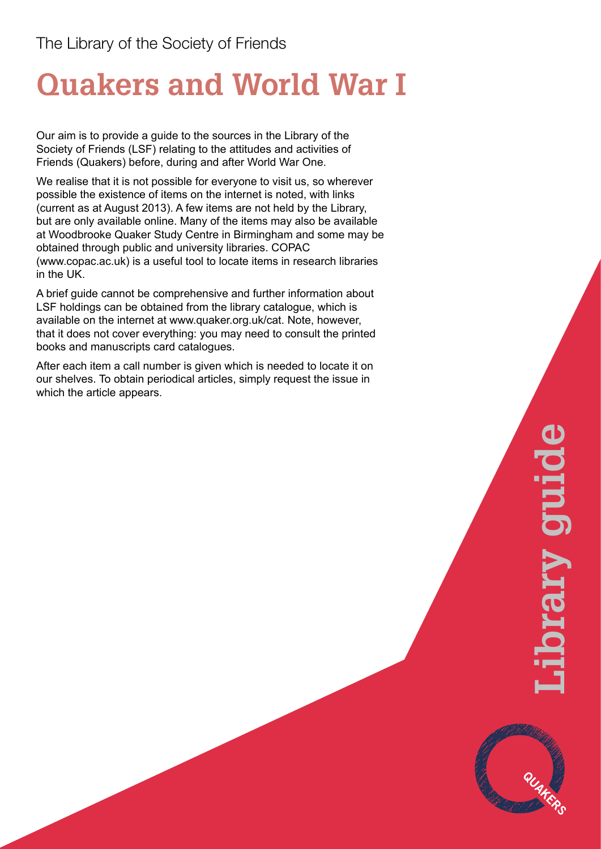# **Quakers and World War I**

Our aim is to provide a guide to the sources in the Library of the Society of Friends (LSF) relating to the attitudes and activities of Friends (Quakers) before, during and after World War One.

We realise that it is not possible for everyone to visit us, so wherever possible the existence of items on the internet is noted, with links (current as at August 2013). A few items are not held by the Library, but are only available online. Many of the items may also be available at Woodbrooke Quaker Study Centre in Birmingham and some may be obtained through public and university libraries. COPAC (www.copac.ac.uk) is a useful tool to locate items in research libraries in the UK.

A brief guide cannot be comprehensive and further information about LSF holdings can be obtained from the library catalogue, which is available on the internet at www.quaker.org.uk/cat. Note, however, that it does not cover everything: you may need to consult the printed books and manuscripts card catalogues.

After each item a call number is given which is needed to locate it on our shelves. To obtain periodical articles, simply request the issue in which the article appears.

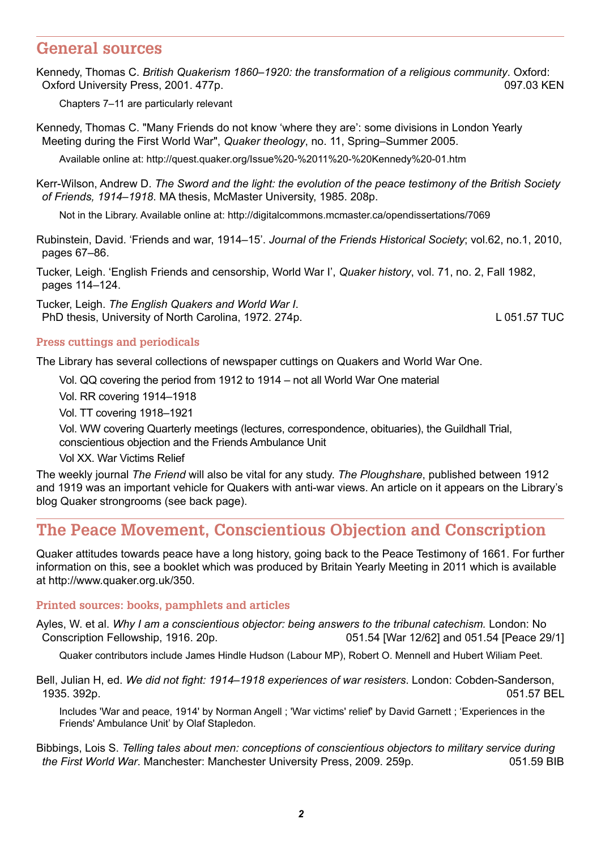# **General sources**

Kennedy, Thomas C. *British Quakerism 1860–1920: the transformation of a religious community*. Oxford: Oxford University Press, 2001. 477p. 097.03 KEN

Chapters 7–11 are particularly relevant

Kennedy, Thomas C. "Many Friends do not know 'where they are': some divisions in London Yearly Meeting during the First World War", *Quaker theology*, no. 11, Spring–Summer 2005.

Available online at: http://quest.quaker.org/Issue%20-%2011%20-%20Kennedy%20-01.htm

Kerr-Wilson, Andrew D. *The Sword and the light: the evolution of the peace testimony of the British Society of Friends, 1914–1918*. MA thesis, McMaster University, 1985. 208p.

Not in the Library. Available online at: http://digitalcommons.mcmaster.ca/opendissertations/7069

Rubinstein, David. 'Friends and war, 1914–15'. *Journal of the Friends Historical Society*; vol.62, no.1, 2010, pages 67–86.

Tucker, Leigh. 'English Friends and censorship, World War I', *Quaker history*, vol. 71, no. 2, Fall 1982, pages 114–124.

Tucker, Leigh. *The English Quakers and World War I*. PhD thesis, University of North Carolina, 1972. 274p. L COMENT CONSERVITY CONSERVATION CONTROLLERGY OF DETAILS

# **Press cuttings and periodicals**

The Library has several collections of newspaper cuttings on Quakers and World War One.

Vol. QQ covering the period from 1912 to 1914 – not all World War One material

Vol. RR covering 1914–1918

Vol. TT covering 1918–1921

Vol. WW covering Quarterly meetings (lectures, correspondence, obituaries), the Guildhall Trial, conscientious objection and the Friends Ambulance Unit

Vol XX. War Victims Relief

The weekly journal *The Friend* will also be vital for any study. *The Ploughshare*, published between 1912 and 1919 was an important vehicle for Quakers with anti-war views. An article on it appears on the Library's blog Quaker strongrooms (see back page).

# **The Peace Movement, Conscientious Objection and Conscription**

Quaker attitudes towards peace have a long history, going back to the Peace Testimony of 1661. For further information on this, see a booklet which was produced by Britain Yearly Meeting in 2011 which is available at http://www.quaker.org.uk/350.

# **Printed sources: books, pamphlets and articles**

Ayles, W. et al. *Why I am a conscientious objector: being answers to the tribunal catechism.* London: No Conscription Fellowship, 1916. 20p. 051.54 [War 12/62] and 051.54 [Peace 29/1]

Quaker contributors include James Hindle Hudson (Labour MP), Robert O. Mennell and Hubert Wiliam Peet.

Bell, Julian H, ed. *We did not fight: 1914–1918 experiences of war resisters*. London: Cobden-Sanderson, 1935. 392p. 051.57 BEL

Includes 'War and peace, 1914' by Norman Angell ; 'War victims' relief' by David Garnett ; 'Experiences in the Friends' Ambulance Unit' by Olaf Stapledon.

Bibbings, Lois S. *Telling tales about men: conceptions of conscientious objectors to military service during the First World War*. Manchester: Manchester University Press, 2009. 259p. 051.59 BIB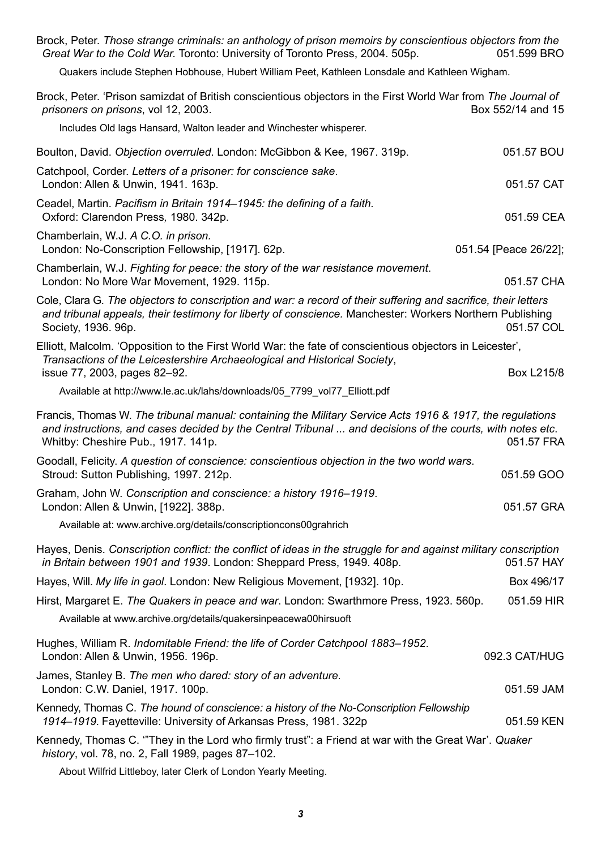Brock, Peter. *Those strange criminals: an anthology of prison memoirs by conscientious objectors from the Great War to the Cold War.* Toronto: University of Toronto Press, 2004. 505p. 051.599 BRO Quakers include Stephen Hobhouse, Hubert William Peet, Kathleen Lonsdale and Kathleen Wigham. Brock, Peter. 'Prison samizdat of British conscientious objectors in the First World War from *The Journal of prisoners on prisons*, vol 12, 2003. Box 552/14 and 15 Includes Old lags Hansard, Walton leader and Winchester whisperer. Boulton, David. *Objection overruled*. London: McGibbon & Kee, 1967. 319p. 051.57 BOU Catchpool, Corder. *Letters of a prisoner: for conscience sake*. London: Allen & Unwin, 1941. 163p. 051.57 CAT Ceadel, Martin. *Pacifism in Britain 1914–1945: the defining of a faith.*  Oxford: Clarendon Press*,* 1980. 342p. 051.59 CEA Chamberlain, W.J. *A C.O. in prison.*  London: No-Conscription Fellowship, [1917]. 62p. 051.54 [Peace 26/22]; Chamberlain, W.J. *Fighting for peace: the story of the war resistance movement*. London: No More War Movement, 1929. 115p. **051.57 CHA** Cole, Clara G*. The objectors to conscription and war: a record of their suffering and sacrifice, their letters and tribunal appeals, their testimony for liberty of conscience.* Manchester: Workers Northern Publishing Society, 1936. 96p. 051.57 COL Elliott, Malcolm. 'Opposition to the First World War: the fate of conscientious objectors in Leicester', *Transactions of the Leicestershire Archaeological and Historical Society*, issue 77, 2003, pages 82–92. Box L215/8 Available at http://www.le.ac.uk/lahs/downloads/05\_7799\_vol77\_Elliott.pdf Francis, Thomas W. *The tribunal manual: containing the Military Service Acts 1916 & 1917, the regulations and instructions, and cases decided by the Central Tribunal ... and decisions of the courts, with notes etc*. Whitby: Cheshire Pub., 1917. 141p. 051.57 FRA Goodall, Felicity. *A question of conscience: conscientious objection in the two world wars*. Stroud: Sutton Publishing, 1997. 212p. 051.59 GOO Graham, John W. *Conscription and conscience: a history 1916–1919*. London: Allen & Unwin, [1922]. 388p. 051.57 GRA Available at: www.archive.org/details/conscriptioncons00grahrich Hayes, Denis. *Conscription conflict: the conflict of ideas in the struggle for and against military conscription in Britain between 1901 and 1939*. London: Sheppard Press, 1949. 408p. 051.57 HAY Hayes, Will. *My life in gaol*. London: New Religious Movement, [1932]. 10p. Box 496/17 Hirst, Margaret E. *The Quakers in peace and war*. London: Swarthmore Press, 1923. 560p. 051.59 HIR Available at www.archive.org/details/quakersinpeacewa00hirsuoft Hughes, William R. *Indomitable Friend: the life of Corder Catchpool 1883–1952*. London: Allen & Unwin, 1956. 196p. 092.3 CAT/HUG James, Stanley B. *The men who dared: story of an adventure.* London: C.W. Daniel, 1917. 100p. 051.59 JAM Kennedy, Thomas C. *The hound of conscience: a history of the No-Conscription Fellowship 1914–1919*. Fayetteville: University of Arkansas Press, 1981. 322p 051.59 KEN Kennedy, Thomas C. '"They in the Lord who firmly trust": a Friend at war with the Great War'. *Quaker history*, vol. 78, no. 2, Fall 1989, pages 87–102.

About Wilfrid Littleboy, later Clerk of London Yearly Meeting.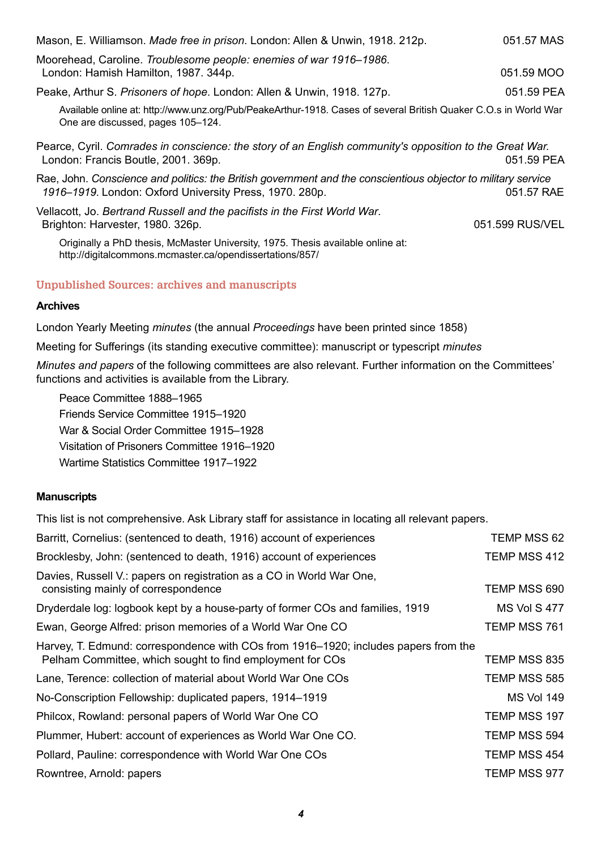Mason, E. Williamson. *Made free in prison*. London: Allen & Unwin, 1918. 212p. 051.57 MAS Moorehead, Caroline. *Troublesome people: enemies of war 1916–1986*. London: Hamish Hamilton, 1987, 344p. 051.59 MOO Peake, Arthur S. *Prisoners of hope*. London: Allen & Unwin, 1918. 127p. 051.59 PEA Available online at: http://www.unz.org/Pub/PeakeArthur-1918. Cases of several British Quaker C.O.s in World War One are discussed, pages 105–124. Pearce, Cyril. *Comrades in conscience: the story of an English community's opposition to the Great War.* London: Francis Boutle, 2001. 369p. 051.59 PEA Rae, John. *Conscience and politics: the British government and the conscientious objector to military service 1916–1919*. London: Oxford University Press, 1970. 280p. 051.57 RAE Vellacott, Jo. *Bertrand Russell and the pacifists in the First World War*. Brighton: Harvester, 1980. 326p. (2008) 2008 2009 201.599 RUS/VEL Originally a PhD thesis, McMaster University, 1975. Thesis available online at: http://digitalcommons.mcmaster.ca/opendissertations/857/

# **Unpublished Sources: archives and manuscripts**

#### **Archives**

London Yearly Meeting *minutes* (the annual *Proceedings* have been printed since 1858)

Meeting for Sufferings (its standing executive committee): manuscript or typescript *minutes*

*Minutes and papers* of the following committees are also relevant. Further information on the Committees' functions and activities is available from the Library.

Peace Committee 1888–1965 Friends Service Committee 1915–1920 War & Social Order Committee 1915–1928 Visitation of Prisoners Committee 1916–1920 Wartime Statistics Committee 1917–1922

#### **Manuscripts**

This list is not comprehensive. Ask Library staff for assistance in locating all relevant papers.

| Barritt, Cornelius: (sentenced to death, 1916) account of experiences                                                                            | TEMP MSS 62       |
|--------------------------------------------------------------------------------------------------------------------------------------------------|-------------------|
| Brocklesby, John: (sentenced to death, 1916) account of experiences                                                                              | TEMP MSS 412      |
| Davies, Russell V.: papers on registration as a CO in World War One,<br>consisting mainly of correspondence                                      | TEMP MSS 690      |
| Dryderdale log: logbook kept by a house-party of former COs and families, 1919                                                                   | MS Vol S 477      |
| Ewan, George Alfred: prison memories of a World War One CO                                                                                       | TEMP MSS 761      |
| Harvey, T. Edmund: correspondence with COs from 1916–1920; includes papers from the<br>Pelham Committee, which sought to find employment for COs | TEMP MSS 835      |
| Lane, Terence: collection of material about World War One COs                                                                                    | TEMP MSS 585      |
| No-Conscription Fellowship: duplicated papers, 1914–1919                                                                                         | <b>MS Vol 149</b> |
| Philcox, Rowland: personal papers of World War One CO                                                                                            | TEMP MSS 197      |
| Plummer, Hubert: account of experiences as World War One CO.                                                                                     | TEMP MSS 594      |
| Pollard, Pauline: correspondence with World War One COs                                                                                          | TEMP MSS 454      |
| Rowntree, Arnold: papers                                                                                                                         | TEMP MSS 977      |
|                                                                                                                                                  |                   |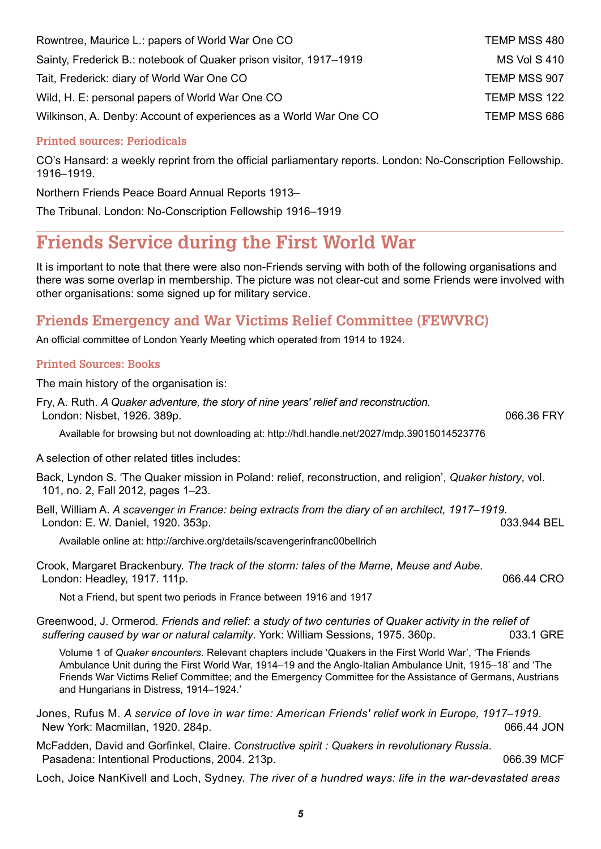| Rowntree, Maurice L.: papers of World War One CO                   | TEMP MSS 480 |
|--------------------------------------------------------------------|--------------|
| Sainty, Frederick B.: notebook of Quaker prison visitor, 1917–1919 | MS Vol S 410 |
| Tait, Frederick: diary of World War One CO                         | TEMP MSS 907 |
| Wild, H. E: personal papers of World War One CO                    | TEMP MSS 122 |
| Wilkinson, A. Denby: Account of experiences as a World War One CO  | TEMP MSS 686 |

# **Printed sources: Periodicals**

CO's Hansard: a weekly reprint from the official parliamentary reports. London: No-Conscription Fellowship. 1916–1919.

Northern Friends Peace Board Annual Reports 1913–

The Tribunal. London: No-Conscription Fellowship 1916–1919

# **Friends Service during the First World War**

It is important to note that there were also non-Friends serving with both of the following organisations and there was some overlap in membership. The picture was not clear-cut and some Friends were involved with other organisations: some signed up for military service.

# **Friends Emergency and War Victims Relief Committee (FEWVRC)**

An official committee of London Yearly Meeting which operated from 1914 to 1924.

# **Printed Sources: Books**

The main history of the organisation is:

| Fry, A. Ruth. A Quaker adventure, the story of nine years' relief and reconstruction. |            |
|---------------------------------------------------------------------------------------|------------|
| London: Nisbet, 1926. 389p.                                                           | 066.36 FRY |

Available for browsing but not downloading at: http://hdl.handle.net/2027/mdp.39015014523776

A selection of other related titles includes:

Back, Lyndon S. 'The Quaker mission in Poland: relief, reconstruction, and religion', *Quaker history*, vol. 101, no. 2, Fall 2012, pages 1–23.

Bell, William A. *A scavenger in France: being extracts from the diary of an architect, 1917–1919*. London: E. W. Daniel, 1920. 353p. 033.944 BEL

Available online at: http://archive.org/details/scavengerinfranc00bellrich

Crook, Margaret Brackenbury. *The track of the storm: tales of the Marne, Meuse and Aube.*  London: Headley, 1917. 111p. 6. 2010. The state of the state of the state of the state of the state of the state of the state of the state of the state of the state of the state of the state of the state of the state of th

Not a Friend, but spent two periods in France between 1916 and 1917

Greenwood, J. Ormerod. *Friends and relief: a study of two centuries of Quaker activity in the relief of suffering caused by war or natural calamity*. York: William Sessions, 1975. 360p. 033.1 GRE

Volume 1 of *Quaker encounters*. Relevant chapters include 'Quakers in the First World War', 'The Friends Ambulance Unit during the First World War, 1914–19 and the Anglo-Italian Ambulance Unit, 1915–18' and 'The Friends War Victims Relief Committee; and the Emergency Committee for the Assistance of Germans, Austrians and Hungarians in Distress, 1914–1924.'

Jones, Rufus M. *A service of love in war time: American Friends' relief work in Europe, 1917–1919*. New York: Macmillan, 1920. 284p. **Department Controller and Controller Controller Act 100** New York: Macmillan, 1920. 284p.

McFadden, David and Gorfinkel, Claire. *Constructive spirit : Quakers in revolutionary Russia*. Pasadena: Intentional Productions, 2004. 213p. 066.39 MCF

Loch, Joice NanKivell and Loch, Sydney. *The river of a hundred ways: life in the war-devastated areas*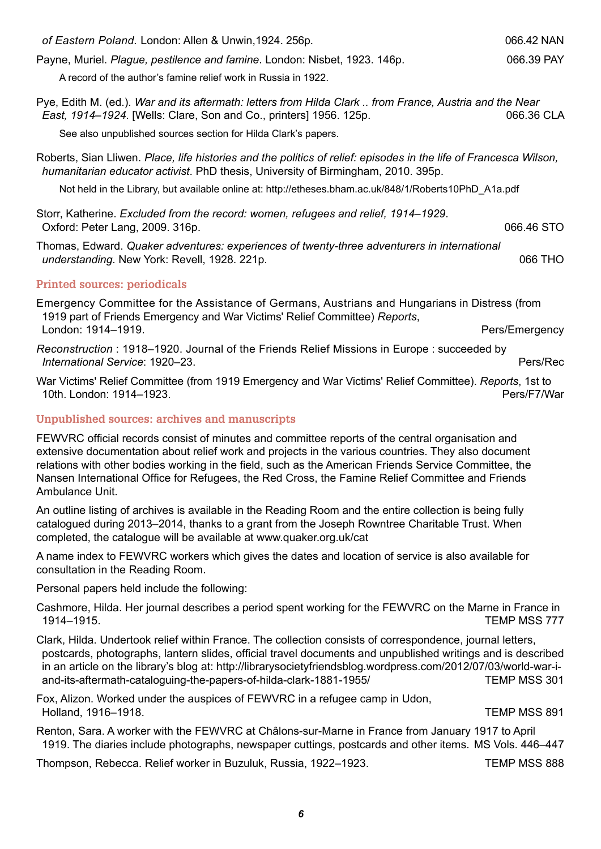*of Eastern Poland.* London: Allen & Unwin,1924. 256p. 066.42 NAN

Payne, Muriel. *Plague, pestilence and famine*. London: Nisbet, 1923. 146p. 066.39 PAY

A record of the author's famine relief work in Russia in 1922.

Pye, Edith M. (ed.). *War and its aftermath: letters from Hilda Clark .. from France, Austria and the Near East, 1914–1924*. [Wells: Clare, Son and Co., printers] 1956. 125p. 066.36 CLA

See also unpublished sources section for Hilda Clark's papers.

Roberts, Sian Lliwen. *Place, life histories and the politics of relief: episodes in the life of Francesca Wilson, humanitarian educator activist*. PhD thesis, University of Birmingham, 2010. 395p.

Not held in the Library, but available online at: http://etheses.bham.ac.uk/848/1/Roberts10PhD\_A1a.pdf

Storr, Katherine. *Excluded from the record: women, refugees and relief, 1914–1929*. Oxford: Peter Lang, 2009. 316p. 066.46 STO

Thomas, Edward. *Quaker adventures: experiences of twenty-three adventurers in international understanding*. New York: Revell, 1928. 221p. **066 THO** 

# **Printed sources: periodicals**

Emergency Committee for the Assistance of Germans, Austrians and Hungarians in Distress (from 1919 part of Friends Emergency and War Victims' Relief Committee) *Reports*, London: 1914–1919. Pers/Emergency

*Reconstruction* : 1918–1920. Journal of the Friends Relief Missions in Europe : succeeded by *International Service*: 1920–23. Pers/Rec

War Victims' Relief Committee (from 1919 Emergency and War Victims' Relief Committee). *Reports*, 1st to 10th. London: 1914–1923. Pers/F7/War

# **Unpublished sources: archives and manuscripts**

FEWVRC official records consist of minutes and committee reports of the central organisation and extensive documentation about relief work and projects in the various countries. They also document relations with other bodies working in the field, such as the American Friends Service Committee, the Nansen International Office for Refugees, the Red Cross, the Famine Relief Committee and Friends Ambulance Unit.

An outline listing of archives is available in the Reading Room and the entire collection is being fully catalogued during 2013–2014, thanks to a grant from the Joseph Rowntree Charitable Trust. When completed, the catalogue will be available at www.quaker.org.uk/cat

A name index to FEWVRC workers which gives the dates and location of service is also available for consultation in the Reading Room.

Personal papers held include the following:

Cashmore, Hilda. Her journal describes a period spent working for the FEWVRC on the Marne in France in 1914–1915. TEMP MSS 777

Clark, Hilda. Undertook relief within France. The collection consists of correspondence, journal letters, postcards, photographs, lantern slides, official travel documents and unpublished writings and is described in an article on the library's blog at: http://librarysocietyfriendsblog.wordpress.com/2012/07/03/world-war-iand-its-aftermath-cataloguing-the-papers-of-hilda-clark-1881-1955/ TEMP MSS 301

Fox, Alizon. Worked under the auspices of FEWVRC in a refugee camp in Udon, Holland, 1916–1918. TEMP MSS 891

Renton, Sara. A worker with the FEWVRC at Châlons-sur-Marne in France from January 1917 to April 1919. The diaries include photographs, newspaper cuttings, postcards and other items. MS Vols. 446–447

Thompson, Rebecca. Relief worker in Buzuluk, Russia, 1922–1923. TEMP MSS 888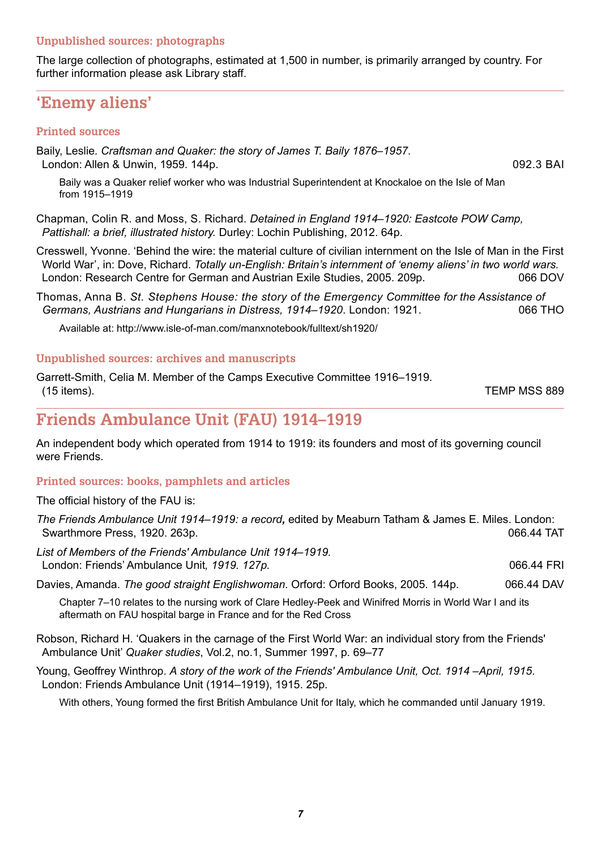# **Unpublished sources: photographs**

The large collection of photographs, estimated at 1,500 in number, is primarily arranged by country. For further information please ask Library staff.

# **'Enemy aliens'**

#### **Printed sources**

Baily, Leslie*. Craftsman and Quaker: the story of James T. Baily 1876–1957*. London: Allen & Unwin, 1959. 144p. 092.3 BAI

Baily was a Quaker relief worker who was Industrial Superintendent at Knockaloe on the Isle of Man from 1915–1919

Chapman, Colin R. and Moss, S. Richard. *Detained in England 1914–1920: Eastcote POW Camp, Pattishall: a brief, illustrated history.* Durley: Lochin Publishing, 2012. 64p.

Cresswell, Yvonne. 'Behind the wire: the material culture of civilian internment on the Isle of Man in the First World War', in: Dove, Richard. *Totally un-English: Britain's internment of 'enemy aliens' in two world wars.* London: Research Centre for German and Austrian Exile Studies, 2005. 209p. 066 DOV

Thomas, Anna B. *St. Stephens House: the story of the Emergency Committee for the Assistance of Germans, Austrians and Hungarians in Distress, 1914–1920*. London: 1921. 066 THO

Available at: http://www.isle-of-man.com/manxnotebook/fulltext/sh1920/

#### **Unpublished sources: archives and manuscripts**

Garrett-Smith, Celia M. Member of the Camps Executive Committee 1916–1919. (15 items). TEMP MSS 889

# **Friends Ambulance Unit (FAU) 1914–1919**

An independent body which operated from 1914 to 1919: its founders and most of its governing council were Friends.

# **Printed sources: books, pamphlets and articles**

The official history of the FAU is:

*The Friends Ambulance Unit 1914–1919: a record,* edited by Meaburn Tatham & James E. Miles. London: Swarthmore Press, 1920. 263p. 066.44 TAT

*List of Members of the Friends' Ambulance Unit 1914–1919.*  London: Friends' Ambulance Unit*, 1919. 127p.* 066.44 FRI

Davies, Amanda. *The good straight Englishwoman*. Orford: Orford Books, 2005. 144p. 066.44 DAV

Chapter 7–10 relates to the nursing work of Clare Hedley-Peek and Winifred Morris in World War I and its aftermath on FAU hospital barge in France and for the Red Cross

Robson, Richard H. 'Quakers in the carnage of the First World War: an individual story from the Friends' Ambulance Unit' *Quaker studies*, Vol.2, no.1, Summer 1997, p. 69–77

Young, Geoffrey Winthrop. *A story of the work of the Friends' Ambulance Unit, Oct. 1914 –April, 1915*. London: Friends Ambulance Unit (1914–1919), 1915. 25p.

With others, Young formed the first British Ambulance Unit for Italy, which he commanded until January 1919.